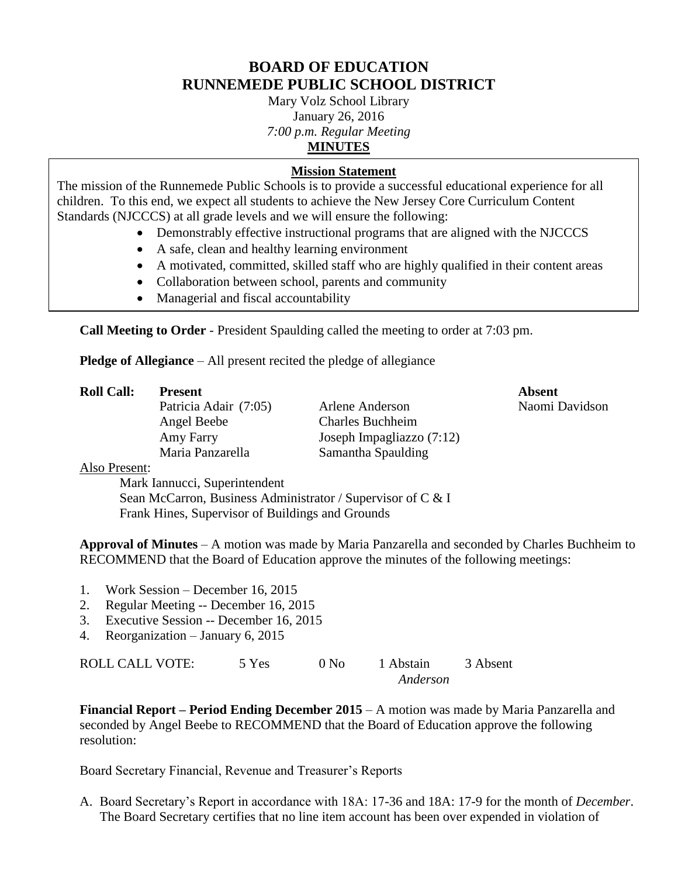# **BOARD OF EDUCATION RUNNEMEDE PUBLIC SCHOOL DISTRICT**

Mary Volz School Library January 26, 2016 *7:00 p.m. Regular Meeting* **MINUTES**

## **Mission Statement**

The mission of the Runnemede Public Schools is to provide a successful educational experience for all children. To this end, we expect all students to achieve the New Jersey Core Curriculum Content Standards (NJCCCS) at all grade levels and we will ensure the following:

- Demonstrably effective instructional programs that are aligned with the NJCCCS
- A safe, clean and healthy learning environment
- A motivated, committed, skilled staff who are highly qualified in their content areas
- Collaboration between school, parents and community
- Managerial and fiscal accountability

**Call Meeting to Order** - President Spaulding called the meeting to order at 7:03 pm.

**Pledge of Allegiance** – All present recited the pledge of allegiance

| <b>Roll Call:</b>      | <b>Present</b>        |                             | <b>Absent</b> |
|------------------------|-----------------------|-----------------------------|---------------|
|                        | Patricia Adair (7:05) | Arlene Anderson             | Naomi         |
|                        | Angel Beebe           | <b>Charles Buchheim</b>     |               |
|                        | Amy Farry             | Joseph Impagliazzo $(7:12)$ |               |
|                        | Maria Panzarella      | Samantha Spaulding          |               |
| $\Lambda$ lao Duosanti |                       |                             |               |

Naomi Davidson

# Also Present:

Mark Iannucci, Superintendent Sean McCarron, Business Administrator / Supervisor of C & I Frank Hines, Supervisor of Buildings and Grounds

**Approval of Minutes** – A motion was made by Maria Panzarella and seconded by Charles Buchheim to RECOMMEND that the Board of Education approve the minutes of the following meetings:

- 1. Work Session December 16, 2015
- 2. Regular Meeting -- December 16, 2015
- 3. Executive Session -- December 16, 2015
- 4. Reorganization January 6, 2015

| <b>ROLL CALL VOTE:</b> | 5 Yes | $0$ No | 1 Abstain | 3 Absent |
|------------------------|-------|--------|-----------|----------|
|                        |       |        | Anderson  |          |

**Financial Report – Period Ending December 2015** – A motion was made by Maria Panzarella and seconded by Angel Beebe to RECOMMEND that the Board of Education approve the following resolution:

Board Secretary Financial, Revenue and Treasurer's Reports

A. Board Secretary's Report in accordance with 18A: 17-36 and 18A: 17-9 for the month of *December*. The Board Secretary certifies that no line item account has been over expended in violation of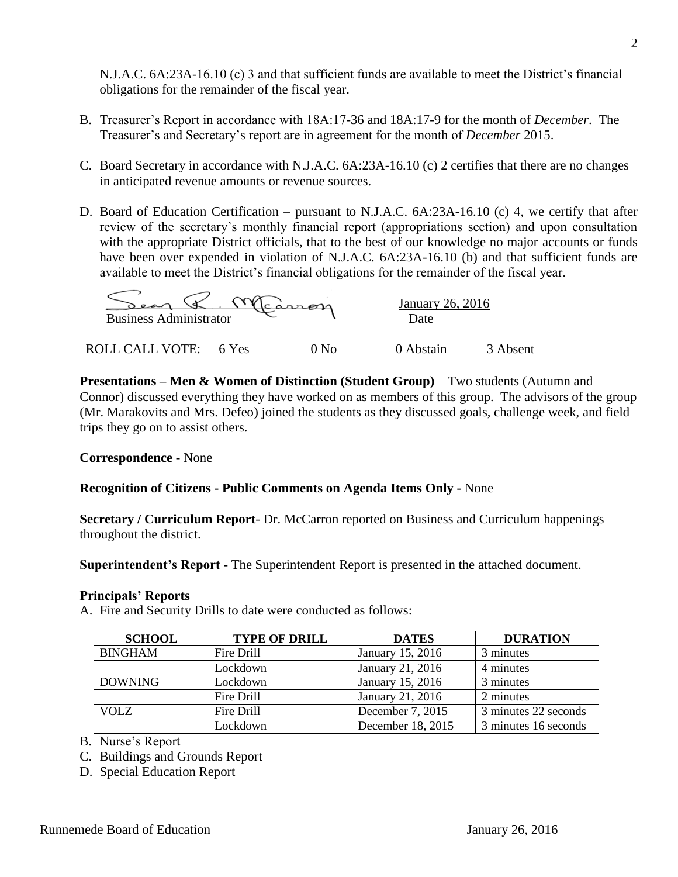N.J.A.C. 6A:23A-16.10 (c) 3 and that sufficient funds are available to meet the District's financial obligations for the remainder of the fiscal year.

- B. Treasurer's Report in accordance with 18A:17-36 and 18A:17-9 for the month of *December*. The Treasurer's and Secretary's report are in agreement for the month of *December* 2015.
- C. Board Secretary in accordance with N.J.A.C. 6A:23A-16.10 (c) 2 certifies that there are no changes in anticipated revenue amounts or revenue sources.
- D. Board of Education Certification pursuant to N.J.A.C. 6A:23A-16.10 (c) 4, we certify that after review of the secretary's monthly financial report (appropriations section) and upon consultation with the appropriate District officials, that to the best of our knowledge no major accounts or funds have been over expended in violation of N.J.A.C. 6A:23A-16.10 (b) and that sufficient funds are available to meet the District's financial obligations for the remainder of the fiscal year.

| <b>Business Administrator</b> | $\langle \gamma \gamma \rangle$ | $c\arctan$ | January 26, 2016<br>Date |          |
|-------------------------------|---------------------------------|------------|--------------------------|----------|
| ROLL CALL VOTE:               | 6 Yes                           | 0 No       | 0 Abstain                | 3 Absent |

**Presentations – Men & Women of Distinction (Student Group)** – Two students (Autumn and Connor) discussed everything they have worked on as members of this group. The advisors of the group (Mr. Marakovits and Mrs. Defeo) joined the students as they discussed goals, challenge week, and field trips they go on to assist others.

**Correspondence** - None

## **Recognition of Citizens - Public Comments on Agenda Items Only -** None

**Secretary / Curriculum Report**- Dr. McCarron reported on Business and Curriculum happenings throughout the district.

**Superintendent's Report -** The Superintendent Report is presented in the attached document.

#### **Principals' Reports**

A. Fire and Security Drills to date were conducted as follows:

| <b>SCHOOL</b>  | <b>TYPE OF DRILL</b> | <b>DATES</b>      | <b>DURATION</b>      |
|----------------|----------------------|-------------------|----------------------|
| <b>BINGHAM</b> | Fire Drill           | January 15, 2016  | 3 minutes            |
|                | Lockdown             | January 21, 2016  | 4 minutes            |
| <b>DOWNING</b> | Lockdown             | January 15, 2016  | 3 minutes            |
|                | Fire Drill           | January 21, 2016  | 2 minutes            |
| <b>VOLZ</b>    | Fire Drill           | December 7, 2015  | 3 minutes 22 seconds |
|                | Lockdown             | December 18, 2015 | 3 minutes 16 seconds |

B. Nurse's Report

C. Buildings and Grounds Report

D. Special Education Report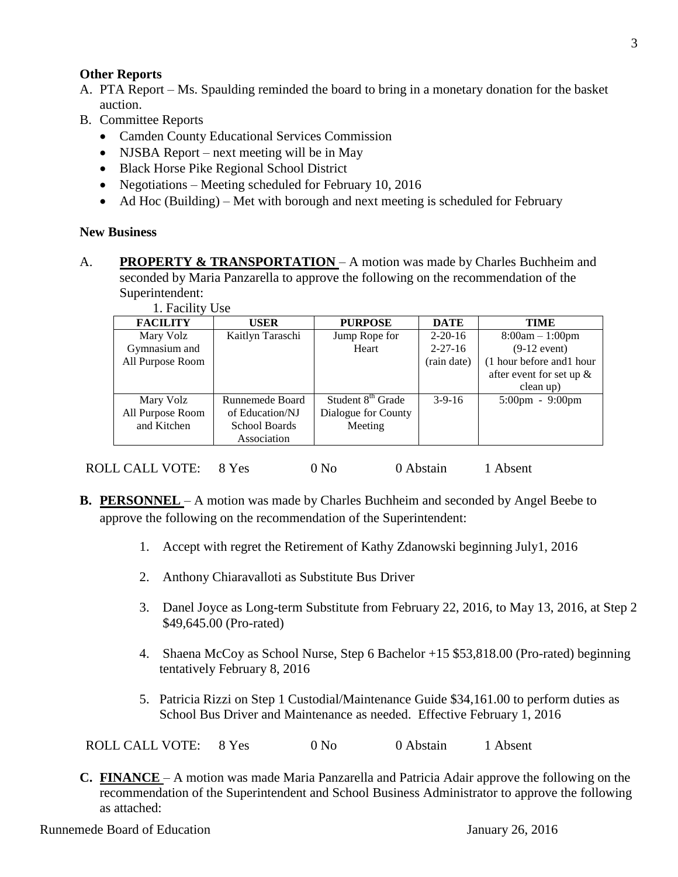## **Other Reports**

- A. PTA Report Ms. Spaulding reminded the board to bring in a monetary donation for the basket auction.
- B. Committee Reports
	- Camden County Educational Services Commission
	- NJSBA Report next meeting will be in May
	- Black Horse Pike Regional School District
	- Negotiations Meeting scheduled for February 10, 2016
	- $\bullet$  Ad Hoc (Building) Met with borough and next meeting is scheduled for February

## **New Business**

A. **PROPERTY & TRANSPORTATION** – A motion was made by Charles Buchheim and seconded by Maria Panzarella to approve the following on the recommendation of the Superintendent: 1. Facility Use

| $1.1$ active $\cup$ sc |                  |                               |               |                                   |
|------------------------|------------------|-------------------------------|---------------|-----------------------------------|
| <b>FACILITY</b>        | USER             | <b>PURPOSE</b>                | <b>DATE</b>   | <b>TIME</b>                       |
| Mary Volz              | Kaitlyn Taraschi | Jump Rope for                 | $2 - 20 - 16$ | $8:00am - 1:00pm$                 |
| Gymnasium and          |                  | Heart                         | $2 - 27 - 16$ | $(9-12$ event)                    |
| All Purpose Room       |                  |                               | (rain date)   | (1 hour before and1 hour          |
|                        |                  |                               |               | after event for set up $\&$       |
|                        |                  |                               |               | clean up)                         |
| Mary Volz              | Runnemede Board  | Student 8 <sup>th</sup> Grade | $3-9-16$      | $5:00 \text{pm} - 9:00 \text{pm}$ |
| All Purpose Room       | of Education/NJ  | Dialogue for County           |               |                                   |
| and Kitchen            | School Boards    | Meeting                       |               |                                   |
|                        | Association      |                               |               |                                   |
|                        |                  |                               |               |                                   |

ROLL CALL VOTE: 8 Yes 0 No 0 Abstain 1 Absent

- **B. PERSONNEL** A motion was made by Charles Buchheim and seconded by Angel Beebe to approve the following on the recommendation of the Superintendent:
	- 1. Accept with regret the Retirement of Kathy Zdanowski beginning July1, 2016
	- 2. Anthony Chiaravalloti as Substitute Bus Driver
	- 3. Danel Joyce as Long-term Substitute from February 22, 2016, to May 13, 2016, at Step 2 \$49,645.00 (Pro-rated)
	- 4. Shaena McCoy as School Nurse, Step 6 Bachelor +15 \$53,818.00 (Pro-rated) beginning tentatively February 8, 2016
	- 5. Patricia Rizzi on Step 1 Custodial/Maintenance Guide \$34,161.00 to perform duties as School Bus Driver and Maintenance as needed. Effective February 1, 2016

ROLL CALL VOTE: 8 Yes 0 No 0 Abstain 1 Absent

**C. FINANCE** – A motion was made Maria Panzarella and Patricia Adair approve the following on the recommendation of the Superintendent and School Business Administrator to approve the following as attached: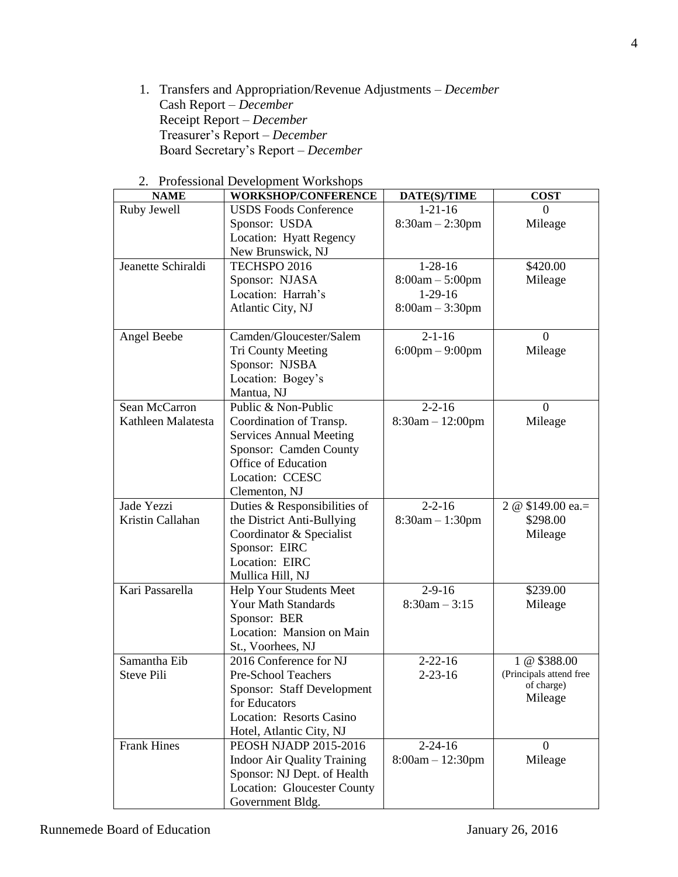1. Transfers and Appropriation/Revenue Adjustments – *December* Cash Report – *December* Receipt Report – *December* Treasurer's Report – *December* Board Secretary's Report – *December*

| <b>NAME</b>        | <b>WORKSHOP/CONFERENCE</b>         | DATE(S)/TIME                      | <b>COST</b>             |
|--------------------|------------------------------------|-----------------------------------|-------------------------|
| Ruby Jewell        | <b>USDS Foods Conference</b>       | $1 - 21 - 16$                     | $\Omega$                |
|                    | Sponsor: USDA                      | $8:30am - 2:30pm$                 | Mileage                 |
|                    | Location: Hyatt Regency            |                                   |                         |
|                    | New Brunswick, NJ                  |                                   |                         |
| Jeanette Schiraldi | TECHSPO 2016                       | $1-28-16$                         | \$420.00                |
|                    | Sponsor: NJASA                     | $8:00am - 5:00pm$                 | Mileage                 |
|                    | Location: Harrah's                 | $1-29-16$                         |                         |
|                    | Atlantic City, NJ                  | $8:00am - 3:30pm$                 |                         |
|                    |                                    |                                   |                         |
| Angel Beebe        | Camden/Gloucester/Salem            | $2 - 1 - 16$                      | $\overline{0}$          |
|                    | <b>Tri County Meeting</b>          | $6:00 \text{pm} - 9:00 \text{pm}$ | Mileage                 |
|                    | Sponsor: NJSBA                     |                                   |                         |
|                    | Location: Bogey's                  |                                   |                         |
|                    | Mantua, NJ                         |                                   |                         |
| Sean McCarron      | Public & Non-Public                | $2 - 2 - 16$                      | $\Omega$                |
| Kathleen Malatesta | Coordination of Transp.            | $8:30am - 12:00pm$                | Mileage                 |
|                    | <b>Services Annual Meeting</b>     |                                   |                         |
|                    | Sponsor: Camden County             |                                   |                         |
|                    | Office of Education                |                                   |                         |
|                    | Location: CCESC                    |                                   |                         |
|                    | Clementon, NJ                      |                                   |                         |
| Jade Yezzi         | Duties & Responsibilities of       | $2 - 2 - 16$                      | 2 @ $$149.00$ ea.=      |
| Kristin Callahan   | the District Anti-Bullying         | $8:30am - 1:30pm$                 | \$298.00                |
|                    | Coordinator & Specialist           |                                   | Mileage                 |
|                    | Sponsor: EIRC                      |                                   |                         |
|                    | Location: EIRC                     |                                   |                         |
|                    | Mullica Hill, NJ                   |                                   |                         |
| Kari Passarella    | Help Your Students Meet            | $2 - 9 - 16$                      | \$239.00                |
|                    | Your Math Standards                | $8:30am - 3:15$                   | Mileage                 |
|                    | Sponsor: BER                       |                                   |                         |
|                    | Location: Mansion on Main          |                                   |                         |
|                    | St., Voorhees, NJ                  |                                   |                         |
| Samantha Eib       | 2016 Conference for NJ             | $2 - 22 - 16$                     | 1 @ \$388.00            |
| <b>Steve Pili</b>  | Pre-School Teachers                | $2 - 23 - 16$                     | (Principals attend free |
|                    | Sponsor: Staff Development         |                                   | of charge)              |
|                    | for Educators                      |                                   | Mileage                 |
|                    | Location: Resorts Casino           |                                   |                         |
|                    | Hotel, Atlantic City, NJ           |                                   |                         |
| <b>Frank Hines</b> | <b>PEOSH NJADP 2015-2016</b>       | $2 - 24 - 16$                     | $\theta$                |
|                    | <b>Indoor Air Quality Training</b> | $8:00am - 12:30pm$                | Mileage                 |
|                    | Sponsor: NJ Dept. of Health        |                                   |                         |
|                    | Location: Gloucester County        |                                   |                         |
|                    | Government Bldg.                   |                                   |                         |

2. Professional Development Workshops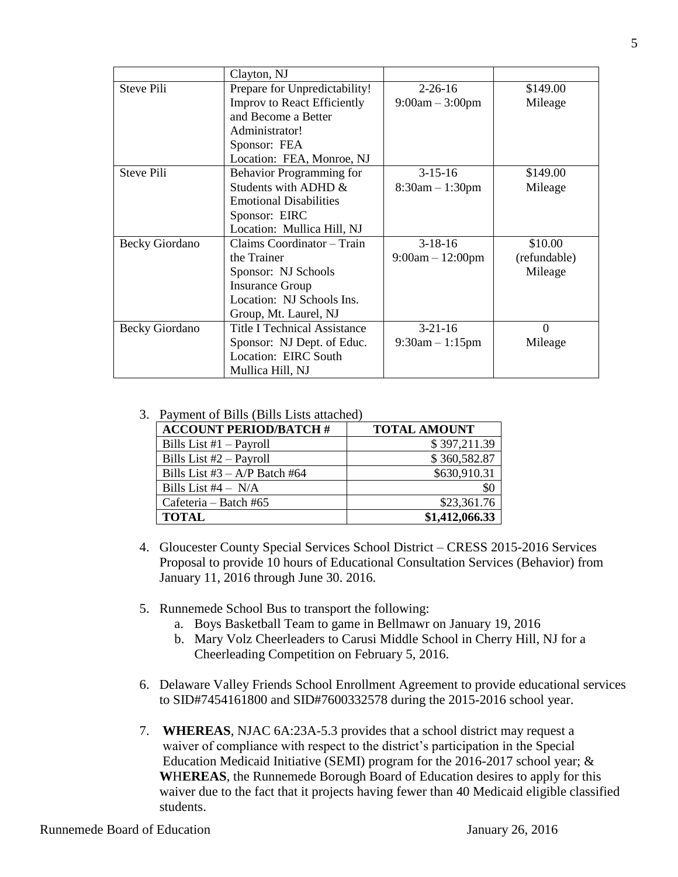|                       | Clayton, NJ                         |                    |              |
|-----------------------|-------------------------------------|--------------------|--------------|
| <b>Steve Pili</b>     | Prepare for Unpredictability!       | $2 - 26 - 16$      | \$149.00     |
|                       | Improv to React Efficiently         | $9:00am - 3:00pm$  | Mileage      |
|                       | and Become a Better                 |                    |              |
|                       | Administrator!                      |                    |              |
|                       | Sponsor: FEA                        |                    |              |
|                       | Location: FEA, Monroe, NJ           |                    |              |
| <b>Steve Pili</b>     | <b>Behavior Programming for</b>     | $3-15-16$          | \$149.00     |
|                       | Students with ADHD &                | $8:30am - 1:30pm$  | Mileage      |
|                       | <b>Emotional Disabilities</b>       |                    |              |
|                       | Sponsor: EIRC                       |                    |              |
|                       | Location: Mullica Hill, NJ          |                    |              |
| <b>Becky Giordano</b> | Claims Coordinator – Train          | $3-18-16$          | \$10.00      |
|                       | the Trainer                         | $9:00am - 12:00pm$ | (refundable) |
|                       | Sponsor: NJ Schools                 |                    | Mileage      |
|                       | <b>Insurance Group</b>              |                    |              |
|                       | Location: NJ Schools Ins.           |                    |              |
|                       | Group, Mt. Laurel, NJ               |                    |              |
| <b>Becky Giordano</b> | <b>Title I Technical Assistance</b> | $3-21-16$          | $\theta$     |
|                       | Sponsor: NJ Dept. of Educ.          | $9:30am - 1:15pm$  | Mileage      |
|                       | Location: EIRC South                |                    |              |
|                       | Mullica Hill, NJ                    |                    |              |

## 3. Payment of Bills (Bills Lists attached)

| <b>ACCOUNT PERIOD/BATCH #</b>     | <b>TOTAL AMOUNT</b> |
|-----------------------------------|---------------------|
| Bills List $#1 - Payroll$         | \$397,211.39        |
| Bills List #2 - Payroll           | \$360,582.87        |
| Bills List $#3 - A/P$ Batch $#64$ | \$630,910.31        |
| Bills List $#4 - N/A$             |                     |
| Cafeteria – Batch #65             | \$23,361.76         |
| <b>TOTAL</b>                      | \$1,412,066.33      |

- 4. Gloucester County Special Services School District CRESS 2015-2016 Services Proposal to provide 10 hours of Educational Consultation Services (Behavior) from January 11, 2016 through June 30. 2016.
- 5. Runnemede School Bus to transport the following:
	- a. Boys Basketball Team to game in Bellmawr on January 19, 2016
	- b. Mary Volz Cheerleaders to Carusi Middle School in Cherry Hill, NJ for a Cheerleading Competition on February 5, 2016.
- 6. Delaware Valley Friends School Enrollment Agreement to provide educational services to SID#7454161800 and SID#7600332578 during the 2015-2016 school year.
- 7. **WHEREAS**, NJAC 6A:23A-5.3 provides that a school district may request a waiver of compliance with respect to the district's participation in the Special Education Medicaid Initiative (SEMI) program for the 2016-2017 school year; & **W**H**EREAS**, the Runnemede Borough Board of Education desires to apply for this waiver due to the fact that it projects having fewer than 40 Medicaid eligible classified students.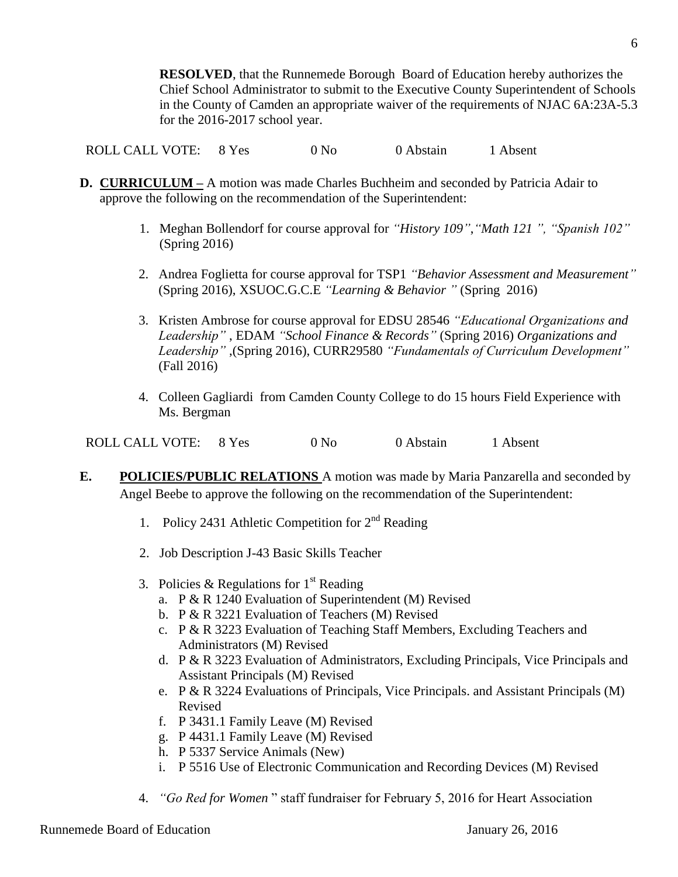**RESOLVED**, that the Runnemede Borough Board of Education hereby authorizes the Chief School Administrator to submit to the Executive County Superintendent of Schools in the County of Camden an appropriate waiver of the requirements of NJAC 6A:23A-5.3 for the 2016-2017 school year.

ROLL CALL VOTE: 8 Yes 0 No 0 Abstain 1 Absent

- **D. CURRICULUM –** A motion was made Charles Buchheim and seconded by Patricia Adair to approve the following on the recommendation of the Superintendent:
	- 1. Meghan Bollendorf for course approval for *"History 109"*,*"Math 121 ", "Spanish 102"* (Spring 2016)
	- 2. Andrea Foglietta for course approval for TSP1 *"Behavior Assessment and Measurement"* (Spring 2016), XSUOC.G.C.E *"Learning & Behavior "* (Spring 2016)
	- 3. Kristen Ambrose for course approval for EDSU 28546 *"Educational Organizations and Leadership"* , EDAM *"School Finance & Records"* (Spring 2016) *Organizations and Leadership"* ,(Spring 2016), CURR29580 *"Fundamentals of Curriculum Development"* (Fall 2016)
	- 4. Colleen Gagliardi from Camden County College to do 15 hours Field Experience with Ms. Bergman

ROLL CALL VOTE: 8 Yes 0 No 0 Abstain 1 Absent

- **E. POLICIES/PUBLIC RELATIONS** A motion was made by Maria Panzarella and seconded by Angel Beebe to approve the following on the recommendation of the Superintendent:
	- 1. Policy 2431 Athletic Competition for  $2<sup>nd</sup>$  Reading
	- 2. Job Description J-43 Basic Skills Teacher
	- 3. Policies & Regulations for  $1<sup>st</sup>$  Reading
		- a. P & R 1240 Evaluation of Superintendent (M) Revised
		- b. P & R 3221 Evaluation of Teachers (M) Revised
		- c. P & R 3223 Evaluation of Teaching Staff Members, Excluding Teachers and Administrators (M) Revised
		- d. P & R 3223 Evaluation of Administrators, Excluding Principals, Vice Principals and Assistant Principals (M) Revised
		- e. P & R 3224 Evaluations of Principals, Vice Principals. and Assistant Principals (M) Revised
		- f. P 3431.1 Family Leave (M) Revised
		- g. P 4431.1 Family Leave (M) Revised
		- h. P 5337 Service Animals (New)
		- i. P 5516 Use of Electronic Communication and Recording Devices (M) Revised
	- 4. *"Go Red for Women* " staff fundraiser for February 5, 2016 for Heart Association